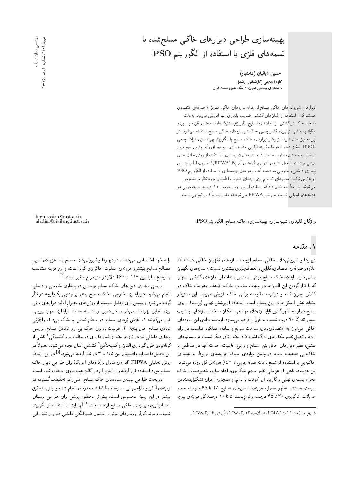## بهینهسازی طراحی دیوارهای خاکی مسلح شده با تسمههای فلزی با استفاده از الگوریتم PSO

حسین غیاثیان (دانشیار) كاوه الادينى (كارشناس ارشد) دانشکدهی مهندسی عمران، دانشگاه علم و صنعت ایران

دیوارها و شیروانی های خاکی مسلح از جمله سازههای خاکی مقرون به صرفهی اقتصادی هستند که با استفاده از المان های کششی ضریب پایداری آنها افزایش می یابد. به علت ضعف خاک درکشش، از المان های تسلیح نظیر ژئوسنتتیک ها، تسمه های فلزی و… برای مقابله با بخشی از نیروی فشار جانبی خاک در سازههای خاکی مسلح استفاده می شود. در |ین تحقیق مدل شبیهساز رفتار دیوارهای خاک مسلح با الگوریتم بهینهسازی ذرات جمعی (PSO)' تلفیق شده تا دریک فرایند ترکیبی «شبیهسازی- بهینهسازی''» بهترین طرح دیوار<br>این اینکه ایران با ضرايب اطمينان مطلوب حاصل شود. در مدل شبيهسازى با استفاده از روش تعادل حدى مبتنبی بر دستور العمل ادارهی فدرال بزرگراههای آمریکا (FHWA) ضرایب اطمینان برای<br>اساسات این است پایداری داخلبی و خارجی به دست آمده و در مدل بهینهسازی با استفاده از الگوریتم PSO بهينهترين تركيب متغيرهاى تصميم براى ارضاى ضرايب اطمينان مورد نظر جستوجو میشوند. این مطالعه نشان داد که استفاده از این روش موجب ۱۱ درصد صرفهجویی در هزینههای اجرایی نسبت به روش FHWA میشود که مقدار نسبتا قابل توجهی است.<br>.

واژگان كليدي: شبيهسازي، بهينهسازي، خاك مسلح، الگوريتم PSO.

# h ghiassian@iust.ac.ir

### ۱. مقدمه

دیوارها و شیروانی های خاکی مسلح ازجمله سازههای نگهبان خاکی هستند که علاوهبر صرفهي اقتصادي،كارايي و انعطاف پذيري بيشتري نسبت به سازههاي نگهبان سنتبی دارند. ایده ی خاک مسلح مبتنی است بر استفاده از المانهای کششی استوار، که با قرار گرفتن این المانها در جهات مناسب خاک، ضعف مقاومت خاک در کشش جبران شده و درنتیجه مقاومت برشی خاک افزایش مییابد. این سازوکار مشابه نقش أرماتورها در بتن مسلح است. استفاده از پوشش نهایی (پوسته) بر روی سطح دیوار بهمنظورکنترل ناپایداری های موضعی، امکان ساخت سازه هایی با شیب بسیار تند (تا ۹۰ درجه نسبت به افق) را فراهم میسازد. ازجمله مزایای این سازههای خاکی میتوان به اقتصادیبودن. ساخت سریع و ساده، عملکرد مناسب در برابر زلزله و تحمل تغییر مکان های بزرگ اشاره کرد. یک برتری دیگر نسبت به سیستم های سنتی، نظیر دیوارهای حائل بتن مسلح و وزنی، قابلیت احداث أنها در مناطقی با خاک پی ضعیف است. در چنین مواردی، حذف هزینههای مربوط به بهسازی خاک بی یا استفاده از شمع باعث صرفهجویی تا ۵۰٪ هزینهی کل پروژه میشود.<br>ا این هزینهها تابعی از عواملی نظیر حجم خاکریزی، ابعاد سازه، خصوصیات خاک محل، پوستهی نهایی وکاربرد آن (موقت یا دائم) و همچنین اجزای تشکیلدهندهی سیستم هستند. بهطور معمول، هزینهی المانهای تسلیح ۴۵ تا ۶۵ درصد، حجم عمیلات خاکریزی ۳۰ تا ۴۵ درصد، و نوع پوسته ۵ تا ۱۰ درصد کل هزینهی پروژه

را به خود اختصاص میدهند. در دیوارها و شیروانی های مسلح بلند هزینهی نسبی مصالح تسليح بيشترو هزينهى عمليات خاكريزى كمتر است، و اين هزينه متناسب با ارتفاع سازه بین ۱۱۰ تا ۲۶۰ دلار در متر مربع متغیر است.<sup>[۱]</sup><br>سامان ایران

بررسی بایداری دیوارهای خاک مسلح براساس دو پایداری خارجی و داخلی انجام میشود. در پایداری خارجی، خاک مسلح بهعنوان تودهیی یکپارچه در نظر گرفته میشود، و سپس برای تحلیل سیستم از روش های معمول آنالیز دیوارهای وزنی برای تحلیل بهرهمند میشویم. در همین راستا سه حالت ناپایداری مورد بررسی قرار میگیرند: ۱. لغزش توده، مسلح در سطح تماس با خاک پی؛ ۲. واژگونی تودهى مسلح حول پنجه؛ ٣. ظرفيت باربرى خاك پى زير تودهى مسلح. بررسى پایداری داخلی نیز در تراز هر یک از المان ها برای دو حالت بیرونکشیدکیِ ' ناشی از<br>صحیحی معدد استقلال استقلال میرکند که استقلال استقلال میشد. کوتاه بودن طول گیرداری المان، و کسیختگی "کششی المان انجام میشود. معمولا در<br>است با اساس استفاده استان میدهد و سبب منابع این تحلیل۵ا ضرایب اطمینان بین ۱٫۵ تا ۳ در نظرگرفته میشود.<sup>[۱]</sup> در این ارتباط<br>میده بولولو ۱٫۱۵ تاریخ ۱٫۱۵ میلاد گرامولوگرفته میشود. روش تحلیلی FHWA (ادارهی فدرال بزرگراههای آمریکا) برای طراحی دیوار خاک مسلح مورد استفاده قرارگرفته و از نتایج آن در آنالیز بهینهسازی استفاده شده است.

در بحث طراحی بهینهی سازههای خاک مسلح، عل<sub>می</sub>رغم تحقیقات گسترده در زمینهی آنالیز و طراحی این سازهها، مطالعات محدودی انجام شده و نیاز به تحقیق بیشتر در این زمینه محسوس است. پیش تر محققین روشی برای طراحی برمبنای اعتمادپذیریِ دیوارهای خاکی مسلح ارائه دادهاند.[<sup>۲]</sup> آنها ابتدا با استفاده از الگوریتم<br>مصطلح منطقه العصاب علم منطقه استفاده از گستگ سبیهساز مونت0ریز پارامبرهای موتر بر احتمال نسیختگی داخلی دیوار را سیاسایی<br>.

مهناسسیعمران شریف<br>دوره ۲-۲۷ ، شماره ی ۲ ص ۱۵-۲ مهندسی عمران شریف دورەىY -Y Y ، شمارەى Y، ص. 10

تاريخ: دريافت ١٣٨٢/١٠/ ١٣٨٧، اصلاحيه ١٣٨٨/٢/٢ ا، پذيرش ١٣٨٨/٣/٢٧.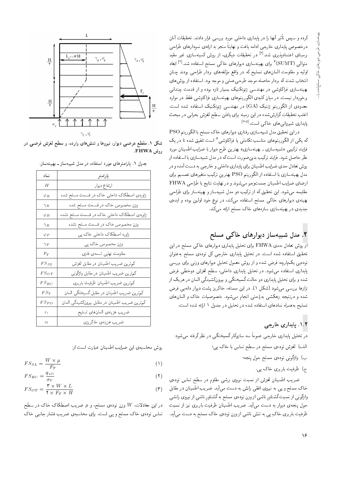درده و سپس تاثیر آنها را در پایداری داخلی مورد بررسی قرار دادند. تحقیقات آنان<br>. درخصوص پایداری خارجی ادامه یافت و نهایتاً منجر به ارائهی نمودارهای طراحی برمبنای اعتمادپذیری شد.<sup>[۲]</sup> در تحقیقات دیگری، از روش کمینهسازی غیر مقید<br>مطلب *COTDAE*D <sup>و</sup> ا متوالی (SUMT)<sup>۶</sup> برای بهینهسازی دیوارهای خاکی مسلح استفاده شد.<sup>!؟]</sup> ابعاد<br>اما به ستار استفاده استفاده کرده از مقابل استفاده شد. اوليه و مقاومت المان هاي تسليح له در واقع مولقه هاي بردار طراحي بودند چنان<br>استاد مصدر کرده استاد - |=yVwQ R= xO=iDU= "Ow@ xHwt w |rta|LQ]OHwt xrY=L Q=OQ@ xm OvOW ?=NDv= بهینهسازی فراکاوشی در مهندسی ژئوتکنیک بسیار تازه بوده و از قدمت چندانی<br>برخوردار نیست. در میان کلیهی الگوریتمهای بهینهسازی فراکاوشی فقط در موارد برخوردار نیست. در میان دلیهی انگورینمهای بهیماسازی فراداوسی فقط در موارد<br>برای ایرانگریسی میلادی (CUA) معدودی از الگوریتم ژنتیک (GA) در مهندسی ژئوتکنیک استفاده شده است.<br>ازامی موسمتان گرامز زیر موسم اغلب تحقیقات گزارش شده در این زمینه برای یافتن سطح لغزش بحرانبی در مبحث پایداری شیروانی های خاکی است.<sup>[۲-۵]</sup><br>است توسیل مقدسی

دراين تحقيق مدل شبيهسازي رفتاري ديوارهاي خاک مسلح با الگوريتم PSO که یکی از الگوریتمهای مناسب تکاملی یا فراکاوشی<sup>۷</sup> است تلفیق شده تا در یک فرايند تركيبي «شبيهسازي ــ بهينهسازي» بهترين طرح ديوار با ضرايب اطمينان مورد نظر حاصل شود. فرایند ترکیب بدین صورت است که در مدل شبیهسازی با استفاده از روش تعادل حدى ضرايب اطمينان براي پايداري داخلي و خارجي به دست آمده و در مدل بهینهسازی با استفاده از الگوریتم PSO بهترین ترکیب متغیرهای تصمیم برای ارضاى ضرايب اطمينان جستوجو مى شوند و در نهايت نتايج با طراحى FHWA مقایسه میشود. این تحقیق که از ترکیب دو مدل شبیهساز و بهینهساز برای طراحی بهینهی دیوارهای خاکی مسلح استفاده میکند. در نوع خود اولین بوده و ایدهی جدیدی در بهینهسازی سازههای خاک مسلح ارائه میکند.

#### ۲. مدل شبیهساز دیوارهای خاک<sub>ی</sub> مسلح

از روش تعادل حدی FHWA برای تحلیل پایداری دیوارهای خاکبی مسلح در این تحقیق استفاده شده است. در تحلیل پایداری خارجی کل تودهی مسلح به عنوان تودهیی یک پارچه فرض شده و از روش معمول تحلیل دیوارهای وزنی برای بررسی پایداری استفاده میشود. در تحلیل پایداری داخلی، سطح لغزش دوخطی فرض شده و برای تحلیل پایداری دو حالت گسیختگی و بیرونکشیدگی المان در هریک از ترازها بررسی میشود (شکل ۱). در این مسئله، خاکریز پشت دیوار دانه یی فرض شده و درنتیجه زهکشی بهراحتی انجام میشود. خصوصیات خاک و المانهای تسلیح به همراه نمادهای استفاده شده در تحلیل در جدول ١ ارائه شده است.

#### ۱.۲. يايداري خارجي

در تحلیل پایداری خارجی عموماً سه سازوکار گسیختگی در نظر گرفته می شود: الف) لغزش تودهى مسلح در سطح تماس با خاك پي؛

ب) واژگونبي تودهي مسلح حول پنجه؛

ج) ظرفیت باربری خاک پی.

ضريب اطمينان لغزش از نسبت نيروى برشى مقاوم در سطح تماس تودهى خاک مسلح و پی به نیروی افقی رانش به دست میآید. ضریب اطمینان در مقابل واژکونی از نسبت کشتاور ناشی از وزن تودهی مسلح به کشتاور ناشی از نیروی رانشی<br>ماه مسلمان است. حول پنجهى ديوار به دست مىآيد. ضريب اطمينان ظرفيت باربرى نيز از نسبت ظرفیت باربری خاک ٍ پی به تنش ناشی از وزن تودهی خاک مسلح به دست می[ید.<br>.



شکل ۱. مقطع عرضی دیوار، نیروها و تنشهای وارده، و سطح لغزش فرضی در روش FHWA.

|  |  | جدول ۱. پارامترهای مورد استفاده در مدل شبیهساز ــ بهینهساز. |  |
|--|--|-------------------------------------------------------------|--|
|  |  |                                                             |  |

| نماد               | پارامتر                                        |
|--------------------|------------------------------------------------|
| H                  | ارتفاع ديوار                                   |
| $\varphi_B$        | زاویهی اصطکاک داخلی خاک در قسمت مسلح شده       |
| $\gamma_R$         | وزن مخصوص خاک در قسمت مسلح شده                 |
| $\varphi_B$        | زاویهی اصطکاک داخلی خاک در قسمت مسلح نشده      |
| $\gamma_B$         | وزن مخصوص خاک در قسمت مسلح نشده                |
| $\varphi_{F}$      | زاویه اصطکاک داخلی خاک پی                      |
| $\gamma_F$         | وزن مخصوص خاک پی                               |
| $F_Y$              | مقاومت نهايى تسمهى فلزى                        |
| $FS_{SL}$          | كمهترين ضريب اطمينان در مقابل لغزش             |
| $FS_{OT}$          | کم ترین ضریب اطمینان در مقابل واژگونی          |
| $FS_{BC}$          | كمترين ضريب اطمينان ظرفيت باربري               |
| $FS_Y$             | كم ترين ضريب اطمينان در مقابل گسيختگي المان    |
| $FS_{PO}$          | کمترین ضریب اطمینان در مقابل بیرونکشیدگی المان |
| $c_\lambda$        | ضريب هزينهى المانهاى تسليح                     |
| $c_{\mathfrak{k}}$ | ضريب هزينهي خاكريزي                            |

روش محاسبهى اين ضرايب اطمينان عبارت است از:

$$
FS_{SL} = \frac{W \times \mu}{F_T} \tag{1}
$$

$$
FS_{BC} = \frac{q_{ult}}{\sigma_V} \tag{1}
$$

$$
FS_{OT} = \frac{\mathbf{r} \times W \times L}{\mathbf{r} \times F_T \times H} \tag{7}
$$

در این معادلات،  $W$  وزن تودهی مسلح، و  $\mu$  ضریب اصطکاک خاک در سطح تماس تودهی خاک مسلح و پی است. برای محاسبهی ضریب فشار جانبی خاک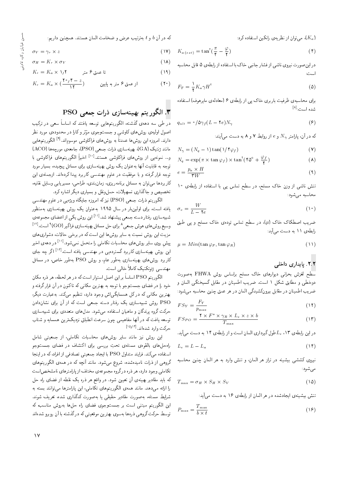)، می توان از نظریه ی رانکین استفاده کرد:

%s}Q=O u}vJty "OvDUy u=tr= Ct=N[ w ZQa ?}DQDx@ <sup>t</sup> w <sup>b</sup> u; QO xm

$$
\sigma_V = \gamma_r \times z \tag{1V}
$$

$$
\sigma_H = K_r \times \sigma_V \tag{1A}
$$

$$
K_r = K_a \times \mathbf{1}_f \mathbf{1}
$$
14)

$$
K_r = K_a \times (\frac{\mathbf{Y} \circ \mathbf{y}^* - z}{\mathbf{Y}^*})
$$
 (1)

#### ۳. الگوريتم بهينهسازي ذرات جمعي PSO

در طے, سه دههی گذشته، الگوریتمهایی توسعه بافتند که اساساً سعے, در ترکیب اصول اولیهی روس های ناوسی و جسب وجوی موتر و نازا در محدودهی مورد نظر<br>ساین استفاده استفاده و استفاده و استفاده به استفاده استفاده و استفاده السون الربية في الربين عن قال و المستخرجون للوثر و عارضا مستخرجات المركب على المستخدم.<br>دارند. امروزه اين روش ها عمدتاً به روش هاي فراكاوشي موسوماند.<sup>[۹]</sup> الكوريتم هايي<br>النصف كم هاي المستخدمات المستخدمات  $(ACO)$  مانند ژنتیک (GA)، بهینهسازی ذرات جمعی (PSO)، جامعه $\alpha$  مورچهها و… نمونه یی از روش های فراکاوشی هستند.<sup>[۱۰]</sup> اخیراً الگوریتم های فراکاوشی با<br>-توجه به قابلیت آنها بهءغوان یک روش بهینهسازی برای مسائل پیچیده، بسیار مورد<br>توجه قرار گرفته و با موفقیت در علوم مهندسی کاربرد بیدا کردهاند. ازجملهی این نوجه قرار ترقیه و با موقفیت در علوم مهمدسی تاربرد پیدا ترزهاند. ازجملهی این<br>کار سال سال سال سال سال سال سال میکند که تار بردها می توان به مسائل برنامهریزی، زمان سلای، طراحی، مسیریابی وسایل تقلیه،<br>- دستگران است است و سایع است است است. تخصیص و جاگذاری تسهیلات، حملونقل و بسیاری دیگر اشاره کرد.

الگوريتم ذرات جمعي (PSO) نيزكه امروزه جايگاه ويژه يي در علوم مهندسي یافته است، برای اولینبار در سال ۱۹۹۵ به عنوان یک روش بهینهسازی بهمنظور شبیهسازی رفتار دسته جمعی پیشنهاد شد.<sup>[۱۱]</sup> این روش یکی از اعضای مجموعهی سبیهسازی رفتار دسته جمعی پیستهاد سد.<br>وسیع روش های هوش جمعی ^ برای حل مسائل بهینهسازی فراگیر (GO) ^ است.<sup>[۱۲]</sup><br>-مزیت این روش نسبت به سایر روش ها این است که در برخی حالات، دشواری های در دههی احیر<br>ایگ یش روی سایر روش های محاسبات تکاملی را متحمل نمیشود.<sup>[۱۱</sup>]<br>۱۲<sub>۰</sub>۰۰  $\ddot{\phantom{0}}$ <sup>[۱۳]</sup> اگر چه جای<br>... این روس بهیهسازی داربرد نستردهیی در مهمدسی یافته است.<br>۱۰ کاربرد روشهای بهینهسازی بهطور عام، و روش PSO بهطور خاص، در مسائل<br>میسمی سوکوکو کارلگینالمطوح مهندسي ژئوتکنيک کاملاً خالبي است.

خود را در فضای جستوجو با توجه به بهترین مکانی که تاکنون در آن قرارگرفته و الكَوريتم PSO اساساً براين اصل استوار است كه در هر لحظه، هر ذره مكان حود را در فصای جستوجو با نوجه به بهترین مدانی ته نا تنون در آن قرار ترقیه و<br>جزئی میلی می ساخل استکشاه است. یهرین مدانی ته در تل همسایدی اس وجود دارد، نتظیم می تند. به عبارت دیدر،<br>DOQ PSO روش شبیهسازی یک رفتار دسته جمعی است که از آن برای نشاندادن درکت گروه برندگان و ماهیان استفاده می شود. مدل۵ای متعددی برای شبیهسازی توسعه يافت كه در أنها مفاهيمي چون سرعت انطباق نزديكترين همسايه و شتاب حرکت وارد شدهاند.<sup>[۱۴و۱]</sup><br>ا

این روش نیز مانند سایر روش های محاسبات تکاملی، از جمعیتی شامل راه حل های بالقوهی مسئلهی تحتِ بررسی برای اکتشاف در فضای جستوجو<br>استاد کنیستان مسئله DSO المطلب استفاده میکند. فرایند متداول PSO با ایجاد جمعیتی تصادفی از افراد، که در اینجا<br>گروهی از ذرات نامیدهشده، شروع می شود. مانند آنچه که در همهی الگوریتمهای دروهی از درات نامیدهسده، سروع می سود. مانند انچه ته در همهی اندورینمهای<br>حرابی تحاملی وجود دارد، هر دره در دروه مجموعهی محتلف از پارامترهای نامسخصاست<br>محتلف استفاده له باید مقادیر بهیمهی آن تعیین سود. در واقع هر دره یک تقطه از قصای راه حل<br>ایل استان این این انگران که از حکام ایران استان استان این را ارائه می1هد. مانند همهی الکوریتمهای تکاملی، این پارامبرها می واسد بسته به<br>مقامت المیلی از این حسن است. شرايط مسئله، بهصورت مقادير حقيقى يا بهصورت كدگذارى شده، تعريف شوند. این الگوریتم مبتنی است بر جستوجوی فضای راه حلها بهروش مناسب، که توسط حرکت گروهی ذرهها بهسوی بهترین موقعیتی که در گذشته با آن روبرو شدهاند

$$
K_{a\ (ext)} = \tan^{\dagger}(\frac{\pi}{\mathfrak{f}} - \frac{\varphi}{\mathfrak{f}})
$$
 (f)

در این صورت نیروی ناسی از فسار جانبی حاک با استفاده از رابطهی له قابل محاسبه<br>ا است:

$$
F_T = \frac{1}{\mathsf{Y}} K_a \gamma H^{\mathsf{T}} \tag{2}
$$

برای محاسبهی طرفیت باربری حاک پی از رابطهی / امعادلهی مایرهوف) استفاده<br>. . . . . . . . . . . . . . شده است:<sup>[۸]</sup><br>-

$$
q_{ult} = \circ / \Delta \gamma_f (L - \Upsilon e) N_{\gamma}
$$
 (9)

که در آن، پارامتر  $N_{\gamma}$  و  $e$  از روابط ۷ و ۸ به دست مه آیند:

$$
N_{\gamma} = (N_q - 1) \tan(1/\mathfrak{f}\varphi_f)
$$
 (V)

$$
N_q = \exp(\pi \times \tan \varphi_f) \times \tan^{\dagger}(\tan^{\dagger} \Delta^\circ + \frac{\varphi_f}{\bm{\gamma}})
$$
 (A)

$$
e = \frac{p_a \times H}{\tau W} \tag{4}
$$

نسن ناستی از وزن حاک مسلح، در سطح نماس پی با استفاده از رابطهی ۱۰<br>ا محاسبه می شود:

$$
\sigma_v = \frac{W}{L - V e} \tag{10}
$$

ضریب اصطکاک خاک (µ)، در سطح تماس تودهی خاک مسلح و پی طبق<br>اطما مدد رابطهی ۱۱ به دست می آید:

$$
\mu = Min(\tan \varphi_F, \tan \varphi_R) \tag{11}
$$

#### ۲.۲. پایداری داخل<sub>ی</sub>

سطح لغزش بحراني ديوارهاى خاك مسلح براساس روش FHWA بهصورت دوخطی و مطابق شکل ۱ است. ضریب اطمینان در مقابل گسیختگی المان و ضريب اطمينان در مقابل بيرونكشيدگي المان در هر عمق چنين محاسبه مي شود:

$$
FS_Y = \frac{F_Y}{p_{\text{max}}} \tag{17}
$$

$$
FS_{PO} = \frac{\mathbf{Y} \times F^* \times \gamma_R \times L_e \times z \times b}{T_{\text{max}}} \tag{17}
$$

در این رابطهی ۱۳،  $L_e$ طول گیرداری المان است و از رابطهی ۱۴ به دست می آید.

$$
L_e = L - L_a \tag{15}
$$

نیروی کششی بیشینه در تراز هر المان، و تنش وارد به هر المان چنین محاسبه مى شود:

$$
T_{\max} = \sigma_H \times S_H \times S_V \tag{10}
$$

تنش بیشینهی ایجادشده در هر المان از رابطهی ۱۶ به دست میآید:

$$
P_{\max} = \frac{T_{\max}}{b \times t} \tag{18}
$$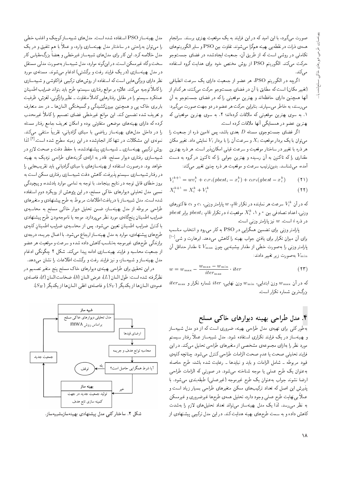صورت میگیرد، با این امید که در این فرایند به یک موقعیت بهتری برسند. سرانجام همهءي ذرات در نقطه يبي بهينه همگرا ميشوند. تفاوت بين PSO و ساير الگوريتم هاي تکاملی در روشی است که از طریق آن، جمعیت ایجادشده در فضای جستوجو حركت مى كند. الكوريتم PSO از روش مختص خود براى هدايت گروه استفاده مبم كند.

اگرچه در الگوریتم PSO، هر عضو از جمعیت دارای یک سرعت انطباقی (تغییر مکان) است که مطابق با آن در فضای جستوجو حرکت میکنند، هرکدام از أنها همچنین دارای حافظهاند و بهترین موقعیتی را که در فضای جستوجو به آن می رسند، به خاطر می سپارند. بنابراین حرکت هر عضو در دو جهت صورت می گیرد: ١. به سوى بهترين موقعيتى كه ملاقات كردهاند؛ ٢. به سوى بهترين موقعيتى كه بهترین عضو در همسایگی آنها ملاقات کرده است.

اگر فضای جستوجوی مسئله D بعدی باشد، پس  $i$ امین ذره از جمعیت را میتوان با یک بردار موقعیت  $X_i$  و سرعت آن را با بردار  $V_i$  نمایش داد. تغییر مکان هر ذره با تغییر در ساختار موقعیت و سرعت قبلی امکانپذیر است. هر ذره بهترین مقداری را که تاکنون به آن رسیده و بهترین جوابی را که تاکنون درگروه به دست ۔<br>آمدہ، میہشناسد. بدینترتیب سرعت و موقعیت ہر ذرہ چنین تغییر میکند:

$$
V_i^{k+1} = w v_i^k + c_1 r_1 (p best_i - x_i^k) + c_1 r_1 (g best - x_i^k)
$$
 (1)

$$
X_i^{k+1} = X_i^k + V_i^k \tag{11}
$$

که در آن  $V_i^k$  سرعت هر نماینده در تکرار  $k$ ام،  $w$  پارامتر وزنبی،  $c_1$  و cr فاکتورهای  $pbest$  وزنی، اعداد تصادفی بین ° و ۱ ،  $X_i^k$  موقعیت  $i$  در تکرار  $k$ ام،  $pbest_i$  برابر  $i$  در ذره  $i$  است.  $w$  نيز پارامتر وزنى است.

بارامتر وزن<sub>و، ا</sub>رای تضمین همگرایی در PSO به کار می رود و انتخاب مناسب برای آن میزان تکرار برای یافتن جواب بهینه راکاهش میدهد. ابرهارت و شی<sup>[۱۰]</sup> پارامتر وزنبی را بهصورت خطبی از مقدار بیشینهیبی چون  $V_{\rm max}$  تا مقدار حداقل آن نەصورت زىر تغىير دادند: V $_{\rm min}$ 

$$
w = w_{\text{max}} - \frac{w_{\text{max}} - w_{\text{min}}}{iter_{\text{max}}} \cdot iter \tag{17}
$$

 $iter_{\max}$  که در آن  $w_{\max}$  وزن ابتدایی،  $w_{\min}$  وزن نهایی،  $ver$  شماره تکرار و بزرگ ترین شماره تکرار است.

#### ۴. مدل طراحی بهینه دیوارهای خاکبی مسلح

بهطور کلبی برای تهیهی مدل طراحی بهینه، ضروری است که از دو مدل شبیهساز و بهینهساز در یک فرایند تکراری استفاده شود. مدل شبیهساز عملاً رفتار سیستم مورد نظر را بهازای مجموعهی مشخصی از متغیرهای طراحی تحلیل میکند. در این فرايند تحليلي صحت يا عدم صحت الزامات طراحي كنترل مى شود. چنانچه كليهى قیود مربوطه ـ شامل الزامات و باید و نبایدها ـ رعایت شده باشد، طرح حاصله به عنوان یک طرح عملی یا موجه شناخته میشود. در صورتی که الزامات طراحی ارضا نشوند جواب به عنوان یک طرح غیرموجه (غیرعملی) طبقهبندی می شود. با پذیرش این اصل که تعداد ترکیبهای ممکن متغیرهای طراحی بسیار زیاد است و عملاً بى نهايت طرح عملى وجود دارد، تحليل همهى طرح ها غيرضروري و غيرممكن به نظر می رسد. لذا یک مدل بهینهساز می تواند تعداد تحلیل های لازم را بهشدت کاهش داده و به سمت طرحهای بهینه هدایت کند. در این مدل ترکیبی پیشنهادی از

مدل بهینهساز PSO استفاده شده است. مدل های شبیهساز کوچک و اغلب خطی را میتوان بهراحتی در ساختار مدل بهینهسازی وارد، و عملاً با هم تلفیق و در یک مدل خلاصه كرد. اين كار براي مدل هاي شبيهساز غيرخطي و بعضاً بزرگ مقياس كار سخت و گاه غیرممکن است. در اینگونه موارد، مدل شبیهساز بهصورت مدلی مستقل در مدل بهینهسازی (در یک فرایند رفت و برگشتبی) ادغام می شوند. مسئلهی مورد نظر دارای ویزگی هایی است که استفاده از روش های ترکیبی فراکاوشی و شبیهسازی راكاملاً توجيه مىكند. علاوه بر موانع رفتارى سيستم، طرح بايد بتواند ضرايب اطمينان عملکرد سیستم را در مقابل رفتارهایی کاملاً متفاوت ــ نظیر واژگونی، لغزش، ظرفیت باربری خاک پی و همچنین بیرونکشیدگی و گسیختگی المانها ـ در حد متعارف و تعریف شده تضمین کند. این موانع غیرخطی فضای تصمیم را کاملاً غیرمحدب کرده که دارای بهینههای موضعی متفاوتی بوده و امکان تعریف جامع رفتار مسئله را در داخل مدل،های بهینهساز ریاضی با مبنای گرادیانی، تقریباً منتفی میکند. نمونهى اين مشكلات در تنها كار انجامشده در اين زمينه مطرح شده است.<sup>[۴]</sup> لذا روش ترکیبی بهینهسازی ـ شبیهسازی پیشنهادشده، با حفظ دقت و صحت لازم در شبیهسازی رفتاری دیوار مسلح، قادر به ارائهی گزینههای طراحی نزدیک به بهینه خواهد بود. درصورت استفاده از بهینهسازهای با مبنای گرادیانی باید تقریبهایی را در رفتار شبیهسازی سیستم پذیرفت. کاهش دقت شبیهسازی رفتاری ممکن است به بروز خطای قابل توجه در نتایج بینجامد. با توجه به تمامی موارد یادشده، و پیچیدگی نسبی مدل تحلیلی دیوارهای خاکی مسلح، در این پژوهش از رویکرد دوم استفاده شده است. مدل شبیهساز با دریافت اطلاعات مربوط به طرح پیشنهادی و متغیرهای طراحی مربوطه از مدل بهینهساز، ضمن تحلیل دیوار خاکی مسلح به محاسبهی ضرایب اطمینان پنجگانهی مورد نظر می پردازد. موجه یا ناموجهبودن طرح پیشنهادی باكنترل ضرايب اطمينان تعيين مى شود. پس از محاسبهى ضرايب اطمينان كليهى طرح های پیشنهادی، موارد به مدل بهینهساز ارجاع میشود. با اعمال جریمه، درجهی برازندگی طرح های غیرموجه بهتناسب کاهش داده شده و سرعت و موقعیت هر عضو از جمعیت محاسبه و فرایند بهینهسازی ادامه پیدا میکند. شکل ۲ چگونگی ادغام مدل بهینهساز و شبیهساز، و نیز فرایند رفت و برگشت اطلاعات را نشان می4هد.

در این تحقیق برای طراحی بهینهی دیوارهای خاک مسلح پنج متغیر تصمیم در نظركرفته شده است: طول المان (L)، عرض المان (b)، ضخامت المان (t)، فاصلهى عمودي المانها از يكديگر (  $S_V$ ) و فاصلهي افقي المانها از يكديگر ( $S_H$ ).



شکل ۲. ساختار کلی مدل پیشنهادی بهینهساز شبیهساز.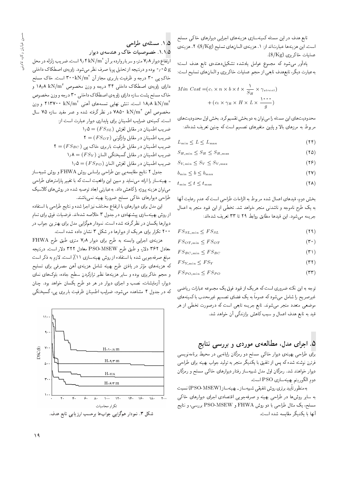تابع هدف در این مسئله کمینهسازی هزینههای اجرایی دیوارهای خاکبی مسلح است. این هزینهها عبارتاند از: ١. هزینهى المانهاى تسلیح (\$yK)؛ ٢. هزینهى عمليات خاكريزي (\$/Kg).

یادآور میشود که مجموع عوامل یادشده تشکیلدهندهی تابع هدف است؛ به عبارت ديگر، تابع هدف تابعي از حجم عمليات خاكريزي و المان هاي تسليح است:

Min Cost = 
$$
(c_1 \times n \times b \times t \times \frac{1}{S_H} \times \gamma_{street})
$$
  
+  $(c_1 \times \gamma_R \times H \times L \times \frac{1 \cdot \cdot \cdot \cdot}{g})$ 

محدودیت های این مسئله را می توان به دو بخش تقسیم کرد. بخش اول محدودیت های مربوط به مرزهای بالا و پایین متغیرهای تصمیم است که چنین تعریف شدهاند:

- $L_{\min} \le L \le L_{\max}$  (14)<br>  $S_{H,\min} \le S_H \le S_{H,\max}$  (16)
- $S_{H,\text{min}} \leq S_H \leq S_{H,\text{max}}$  (12)<br>  $S_{V,\text{min}} \leq S_V \leq S_{V,\text{max}}$  (15)
- $S_{V,\min} \leq S_V \leq S_{V,\max}$  (17)<br>  $b_{\min} \leq b \leq b_{\max}$  (17)
- $b_{\min} \le b \le b_{\max}$  (77)<br>  $t_{\min} < t < t_{\max}$  (78)
- $t_{\min} \leq t \leq t_{\max}$

بخش دوم، قيدهاي اعمال شده مربوط به الزامات طراحي است كه عدم رعايت آنها به یک طرح ناموجه و ناشدنی منجر خواهد شد. تخطی از این قیود منجر به اعمال جريمه مبى شود. اين قيدها مطابق روابط ٢٩ تا ٣٣ تعريف شدهاند:

- 
- $FS_{SL,min} \leq FS_{SL}$  (14)<br> $FS_{OT,min} \leq FS_{OT}$  (19)  $FS_{OT, \min} \leq FS_{OT}$  (\*)<br> $FS_{BC, \min} \leq FS_{BC}$  (\*)
- 
- $FS_{BC,min} \leq FS_{BC}$  (\*)<br> $FS_{Y,min} < FS_{Y}$  (\*)
- $FS_{Y,\text{min}} \leq FS_Y$  ( $\text{Y}$ )<br> $FS_{PO,\text{min}} \leq FS_{PO}$  ( $\text{Y}$ )  $FS_{PO,min} \leq FS_{PO}$

توجه به این نکته ضروری است که هر یک از قیود فوق یک مجموعه عبارات ریاضی غیرصریح را شامل میشود که عموماً به یک فضای تصمیم غیرمحدب با کمینههای<br>مسیحی است موضعی متعدد منجر میشوند. تابع جریمه تابعی است که درصورت تخطی از هر قید به تابع هدف اعمال و سبب کاهش برازندگی آن خواهد شد.

#### G. اجرای مدل، مطالعهی موردی و بررسی نتایج

بر<mark>ای طراحی بهینهی دیوار خاکی مسلح دو رمزگان رایانهیی در محیط برنامهنویسی</mark> فرترن نوشته شده که پس از تلفیق با یکدیگر منجر به تولید جواب بهینه برای طراحی دیوار خواهند شد. رمزگان اول مدل شبیهساز رفتار دیوارهای خاکی مسلح و رمزگان دوم الگوريتم بهينهسازى PSO است.

بهمنظور تاييد برترى روش تلفيقى شبيهساز ــ بهينهساز (PSO-MSEW ) نسبت<br>ا به سایر روش ها در طراحی بهینه و صرفهجویی اقتصادی اجرای دیوارهای خاکی مسلح، یک مثال طراحی با دو روش FHWA و PSO-MSEW بررسی، و نتایج آنها با يكديگر مقايسه شده است.

|L=Q] |xrUt "1"5 Q=w}O |xUOvy w l=N C=}YwYN "1"1"5 pLt QOxrRrR?} Q[ "CU= 9 4 kN/m<sup>2</sup> u; Q@ xOQ=w Q=@ QU w 'QDt 7 8 Q=w}O `=iDQ= |rN=O l=m]Y= |x}w=R "OwW|t Q\_v hQY =}wB p}rLD R= xH}DvQO w xOw@ 0 05 <sup>g</sup> KrUt l=N "CU= 300kN/m<sup>2</sup> u; R=Ht |Q@Q=@ C}iQ\_ w xHQO 30 |B \*l=N w 18 8 kN/m<sup>3</sup> XwYNt uRw w xHQO 34 |rN=O l=m]Y= |x}w=R |=Q=O XwYNt uRw w xHQO 30 |rN=O l=m]Y= |x}w=R |=Q=O xR=UCWB KrUt l=N uRw w 413700 kN/m<sup>2</sup> |vy; |=yxtUD |}=yv VvD "CU= 18 8 kN/m<sup>3</sup> p=U 75 xR=U O}it Qta w xOW xDiQo Q\_v QO 7850 kN/m<sup>3</sup> uy; XwYNt %R= CU= CQ=@a Q=w}O |Q=O}=B |=Q@ u=v}t]= ?}=Q[ |xv}tm "CU= 1 5 = (F SSL) VRer p@=kt QO u=v}t]= ?} Q[ 2 = (F SOT ) |vwoS=w p@=kt QO u=v}t]= ?} Q[ 2 = (F SBC ) |B l=N |Q@Q=@ C}iQ\_ p@=kt QO u=v}t]= ?} Q[

1 هـ. من الطمينان در مقابل گسيختگي المان ( $\mathcal{A} = (FSY)$ <br>اسما سطح الحال استان الحال الحال الحال الحال الحال الحال الحال الحال الحال الحال الحال الحال الحال

1/0 = ( $FS_{PO}$ ) ضريب اطمينان در مقابل لغزش المان

جدول ٢ نتايج مقايسهيي بين طراحي براساس روش FHWA و روش شبيهساز ـ بهينهساز را ارائه مى نمايد و مبين اين واقعيت است كه با تغيير پارامترهاى طراحى می توان هزینه پروژه را کاهش داد. به عبارتی ابعاد توصیه شده در روش های کلاسیک طراحي ديوارهاى خاكى مسلح ضرورتا بهينه نمى باشند.

این مدل برای دیوارهای با ارتفاع مختلف نیز اجرا شده و نتایج طراحی با استفاده از روش بهینهسازی پیشنهادی در جدول ۳ خلاصه شدهاند. فرضیات فوق برای تمام دیوارها یکسان در نظرگرفته شده است. نمودار همگرایی مدل برای بهترین جواب در \* ٢٥ تكرار براى هريك از ديوارها در شكل ٣ نشان داده شده است.

هزينهى اجرايي وابسته به طرح براى ديوار ٧,٨ مترى طبق طرح FHWA معادل ۳۶۲ دلار، و طبق طرح PSO-MSEW معادل ۳۲۲ دلار است. درنتيجه مبلغ صرفهجويي شده با استفاده از روش بهينهسازي ١١٪ است. لازم به ذكر است K}rUD |=Q@ |iQYt uy; |xv} Ry pt=W xv}y@ KQ] uDi=} QO QF wt |=yxv} Ry xm .<br>. و حجم حادریزی بوده و سایر هزیدها تصر برازدردن سطح جاده، بلوک های تمای<br>استقلیلی است دیوار، آزمایشات، نصب و اجرای دیوار در هر دو طرح یکسان خواهد بود. چنان كه در جدول ۴ مشاهده مىشود، ضرايب اطمينان ظرفيت باربرى يى، گسيختگى

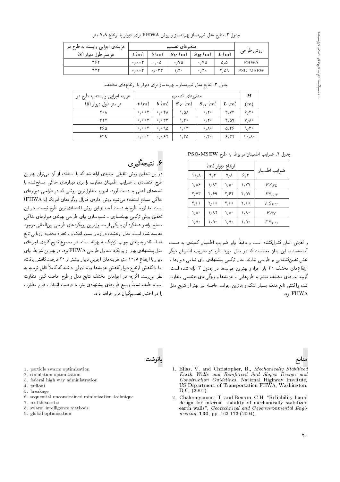| جدول ۲. نتایج مدل شبیهسازـبهینهساز و روش FHWA برای دیوار با ارتفاع ۷٫۸ متر. |  |
|-----------------------------------------------------------------------------|--|
|-----------------------------------------------------------------------------|--|

| هزینهی اجرایی وابسته به طرح در |       |                                                                              |               |                      |      |             |
|--------------------------------|-------|------------------------------------------------------------------------------|---------------|----------------------|------|-------------|
| هر متر طول ديوار (\$)          | t(m)  | b(m)                                                                         | $S_V(m)$      | $ S_H(m) $           | L(m) | روش طراحی   |
| ۳۶۲                            | 0,0,0 | $\circ$ , $\circ$ $\Delta$                                                   | $\cdot$ , YA  | $\cdot$ , Y $\Delta$ | ۵، ۵ | <b>FHWA</b> |
| ۳۲۲                            |       | $\circ$ , $\circ$ $\circ$ $\uparrow$ $\circ$ , $\circ$ $\uparrow$ $\uparrow$ | $\mathcal{N}$ | $\circ$ , $\uparrow$ | ۴،۵۹ | PSO-MSEW    |

جدول ٣. نتايج مدل شبيهساز ــ بهينهساز براي ديوار با ارتفاعهاي مختلف.

| هزینه اجرایی وابسته به طرح در | متغيرهاى تصميم                     |                                     |                             |                                |      |             |
|-------------------------------|------------------------------------|-------------------------------------|-----------------------------|--------------------------------|------|-------------|
| هر متر طول دیوار (\$)         | t(m)                               | b(m)                                | $S_V(m)$                    | $S_H(m)$                       | L(m) | (m)         |
| ۲۰ ۸                          | $\circ$ , $\circ$ o $\mathbf{r}$   | $\circ$ , $\circ$ $\uparrow \wedge$ | $\lambda$ , $\Delta\lambda$ | $\circ$ , $\mathsf{Y}$ $\circ$ | T/VT | 9,5         |
| ۳۲۲                           | $\circ$ , $\circ$ o $\mathcal{V}$  | .000                                | $\mathcal{N}$               | $\cdot$ , $\mathsf{Y}$         | ۴٬۵۹ | $V/\Lambda$ |
| ۴۶۵                           | $\circ$ , $\circ$ o $\uparrow$     | 0,0.90                              | ۰۰۳ (                       | $\cdot$ / $\wedge$ $\cdot$     | 0.99 | 9,7         |
| ۶۴۹                           | $\circ$ , $\circ$ o $\mathfrak{P}$ | 0,0.97                              | ۱٬۳۵                        | $\circ$ , $\uparrow \circ$     | 8.77 | ۸۰٫۸۰       |

جدول ۴. ضرايب اطمينان مربوط به طرح PSO-MSEW.

|                                      | ارتفاع دیوار (m) |                       |                                      |                   |  |  |
|--------------------------------------|------------------|-----------------------|--------------------------------------|-------------------|--|--|
| ۸، ۱۰                                | ۹٫۳              | ۷, ۸                  | 5,5                                  | ضرايب اطمينان     |  |  |
| ۱,۸۶                                 | ۱٬۸۴             | ۸٫۸۰                  | ۷۷ (                                 | $FS_{SL}$         |  |  |
| ۲, ۷۳                                | ۲٬۶۹             | ۲٫۶۴                  | ۲٬۵۷                                 | $FS_{OT}$         |  |  |
| $\mathbf{Y}_{\ell} \circ \mathbf{0}$ | ۰ م/۲            | $\mathbf{Y}_{\ell}$ . | $\mathbf{Y}_{\ell} \cdot \mathbf{0}$ | $FS_{BC}$         |  |  |
| ۱,∧∘                                 | ۱٬۸۲             | ۱٫λ۰                  | ۱٫λ۰                                 | $FS_{\mathbf{Y}}$ |  |  |
| ۵۰ / ۱                               | ۵۰/۱             | ۵۰ / ۱                | ۵۰ / ۱                               | $FS_{PO}$         |  |  |

و لغزش المان دنترل<نده است و دفیفا برابر ضرایب اطمینان دمینهی به دست<br>آ امده هستند. این بدان معناست که در مثال مورد نظر، دو صریب اطمینان دیگر<br>تعدید میکنند اعس العين بمسابق إلى طراحي الدارند. مدل الرئيبي بيستها في ابراي المامي فيوارها با<br>المقام السلمان المحادث المحادث المسابق "CU= xOW x=Q= 3 pwOH QO =y?=wH u} QDy@ w '=QH= Q=@ 20 hrDNt |=y`=iDQ= درچه اجراهای محتلف مسج به طرحهایی با هزینهها و ویژنیهای همدسی متفاوت<br>مسجد این ساخت سایت اسلامی شد، براکنش تابع هدف بسیار اندک و بدترین جواب حاصله نیز بهتر از نتایج مدل "Ow@ FHWA

بانوشت

۶. <mark>نتیجهگیری</mark><br>در این تحقیق روش تلفیقی جدیدی ارائه شد که با استفاده از آن می,توان بهترین در این تحقیق روس مقیقی جدیدی آزاده سد نه با استفاده از آن می وان بهترین<br>این اینکل این این اینکل این این این این این اینکل این اینکل این این اینکل این طرح اقتصادی با صرایب اطمینان مطلوب را برای دیوارهای حالی مسلحسده با<br>-ستمه های آهنی به دست آورد. آمروزه میداول برین روسی ته در طراحی دیوارهای<br>ماکستان استان است. خاکی مسلح استفاده میشود روش ادارهی فدرال بزرگراههای آمریکا (یا FHWA)<br>استفادات با آباد است اما لزوماً طرح به دست آمده از این روش اقتصادیترین طرح نیست. در این تحقیق روش ترکیبی بهینهسازی ــ شبیهسازی برای طراحی بهینهی دیوارهای خاکبی مسلح ارائه و عملكرد أن با يكي از متداول ترين رويكردهاي طراحي بين المللي موجود مقایسه شده است. مدل ارائهشده در زمان بسیار اندک و با تعداد محدود ارزیابی تابع<br>هدف قادر به یافتن جواب نزدیک به بهینه است. در مجموع نتایج کلیهی اجراهای هدف قادر به یافتن جواب تزدیک به بهینه است. در مجموع تنایج تنیهی اجراهای<br>مناسب با ایرانی مدل پیشنهادی بهتراز رویکرد متداول طراحی FHWA بود. در بهترین شرایط برای<br>ما با با بینامه بود و کرد و پستانسلو است. دیوار با ارتفاع ۱۰٫۸ متر، هزینههای اجرایی دیوار بیشتر از ۲۰ درصد کاهش بافت، اما با کاهش ارتفاع دیوار کاهش ِ هزینهها روند نزولمی داشته که کاملاً قابل توجیه به<br>منا نظر میرسد. اگرچه در اجراهای مختلف نتایج مدل و طرح حاصله کمی متفاوت است، طيف نسبتاً وسيع طرحهاى پيشنهادى خوب، فرصت انتخاب طرح مطلوب را در اختیار تصمیمگیران قرار خواهد داد.

## منابع

- 1. particle swarm optimization
- 2. simulation-optimization 3. federal high way administration
- 4. pullout
- 5. breakage
- 6. sequential unconstrained minimization technique
- 7. metaheuristic
- 8. swarm intelligence methods
- 9. global optimization
- 1. Elias, V. and Christopher, B., Mechanically Stabilized Earth Walls and Reinforced Soil Slopes Design and Construction Guidelines, National Highway Institute, US Department of Transportation FHWA, Washington, D.C.  $(2001)$ .
- 2. Chalermyanont, T. and Benson, C.H. "Reliability-based design for internal stability of mechanically stabilized earth walls", Geotechnical and Geoenvironmental Engineering, 130, pp. 163-173 (2004).